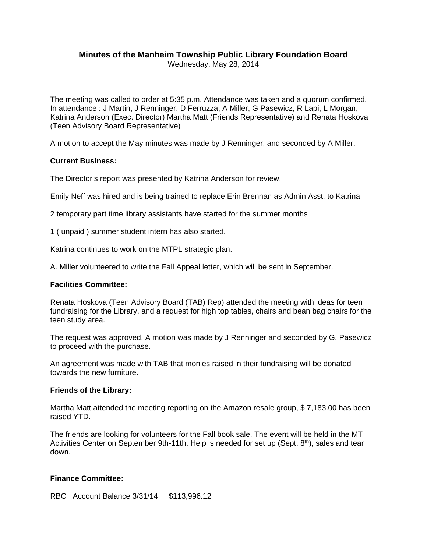# **Minutes of the Manheim Township Public Library Foundation Board**

Wednesday, May 28, 2014

The meeting was called to order at 5:35 p.m. Attendance was taken and a quorum confirmed. In attendance : J Martin, J Renninger, D Ferruzza, A Miller, G Pasewicz, R Lapi, L Morgan, Katrina Anderson (Exec. Director) Martha Matt (Friends Representative) and Renata Hoskova (Teen Advisory Board Representative)

A motion to accept the May minutes was made by J Renninger, and seconded by A Miller.

# **Current Business:**

The Director's report was presented by Katrina Anderson for review.

Emily Neff was hired and is being trained to replace Erin Brennan as Admin Asst. to Katrina

2 temporary part time library assistants have started for the summer months

1 ( unpaid ) summer student intern has also started.

Katrina continues to work on the MTPL strategic plan.

A. Miller volunteered to write the Fall Appeal letter, which will be sent in September.

#### **Facilities Committee:**

Renata Hoskova (Teen Advisory Board (TAB) Rep) attended the meeting with ideas for teen fundraising for the Library, and a request for high top tables, chairs and bean bag chairs for the teen study area.

The request was approved. A motion was made by J Renninger and seconded by G. Pasewicz to proceed with the purchase.

An agreement was made with TAB that monies raised in their fundraising will be donated towards the new furniture.

#### **Friends of the Library:**

Martha Matt attended the meeting reporting on the Amazon resale group, \$ 7,183.00 has been raised YTD.

The friends are looking for volunteers for the Fall book sale. The event will be held in the MT Activities Center on September 9th-11th. Help is needed for set up (Sept.  $8<sup>th</sup>$ ), sales and tear down.

# **Finance Committee:**

RBC Account Balance 3/31/14 \$113,996.12